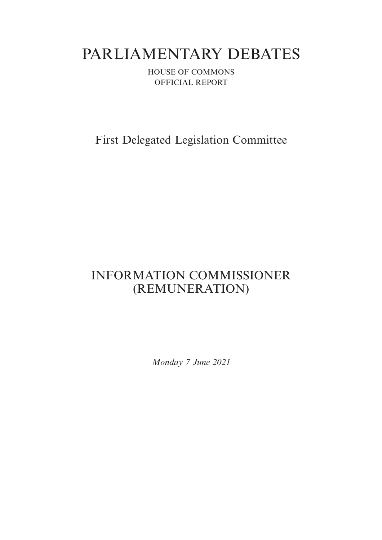# PARLIAMENTARY DEBATES

HOUSE OF COMMONS OFFICIAL REPORT

First Delegated Legislation Committee

## INFORMATION COMMISSIONER (REMUNERATION)

*Monday 7 June 2021*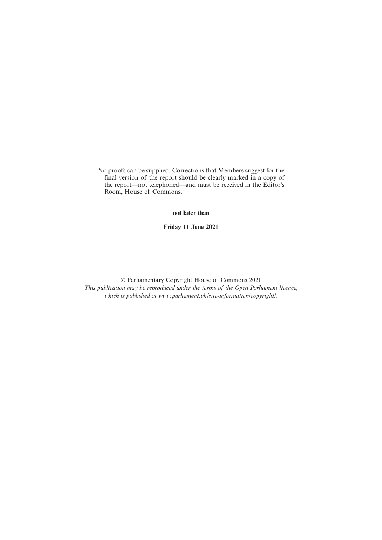No proofs can be supplied. Corrections that Members suggest for the final version of the report should be clearly marked in a copy of the report—not telephoned—and must be received in the Editor's Room, House of Commons,

**not later than**

**Friday 11 June 2021**

© Parliamentary Copyright House of Commons 2021 *This publication may be reproduced under the terms of the Open Parliament licence, which is published at www.parliament.uk/site-information/copyright/.*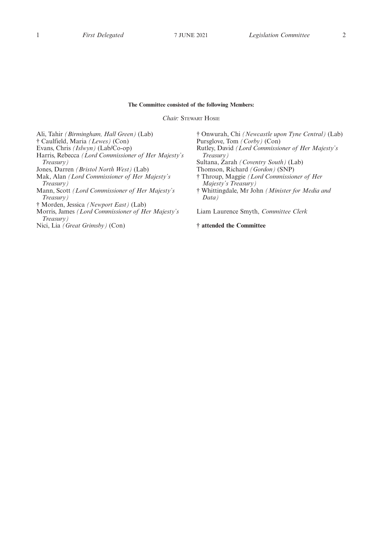#### **The Committee consisted of the following Members:**

*Chair:* STEWART HOSIE

Ali, Tahir *(Birmingham, Hall Green)* (Lab) † Caulfield, Maria *(Lewes)* (Con) Evans, Chris *(Islwyn)* (Lab/Co-op) Harris, Rebecca *(Lord Commissioner of Her Majesty's Treasury)* Jones, Darren *(Bristol North West)* (Lab) Mak, Alan *(Lord Commissioner of Her Majesty's Treasury)* Mann, Scott *(Lord Commissioner of Her Majesty's Treasury)* † Morden, Jessica *(Newport East)* (Lab)

Morris, James *(Lord Commissioner of Her Majesty's Treasury)*

Nici, Lia *(Great Grimsby)* (Con)

† Onwurah, Chi *(Newcastle upon Tyne Central)* (Lab) Pursglove, Tom *(Corby)* (Con) Rutley, David *(Lord Commissioner of Her Majesty's Treasury)* Sultana, Zarah *(Coventry South)* (Lab) Thomson, Richard *(Gordon)* (SNP) † Throup, Maggie *(Lord Commissioner of Her Majesty's Treasury)* † Whittingdale, Mr John *(Minister for Media and Data)*

Liam Laurence Smyth, *Committee Clerk*

#### **† attended the Committee**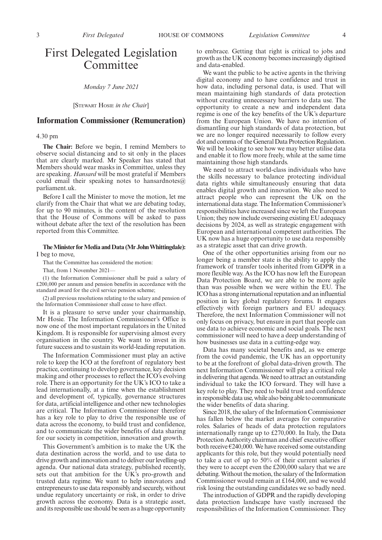### First Delegated Legislation Committee

*Monday 7 June 2021*

[STEWART HOSIE *in the Chair*]

#### **Information Commissioner (Remuneration)**

#### 4.30 pm

**The Chair:** Before we begin, I remind Members to observe social distancing and to sit only in the places that are clearly marked. Mr Speaker has stated that Members should wear masks in Committee, unless they are speaking. *Hansard* will be most grateful if Members could email their speaking notes to hansardnotes  $\omega$ parliament.uk.

Before I call the Minister to move the motion, let me clarify from the Chair that what we are debating today, for up to 90 minutes, is the content of the resolution that the House of Commons will be asked to pass without debate after the text of the resolution has been reported from this Committee.

#### **The Minister for Media and Data (Mr John Whittingdale):** I beg to move,

That the Committee has considered the motion:

That, from 1 November 2021—

(1) the Information Commissioner shall be paid a salary of £200,000 per annum and pension benefits in accordance with the standard award for the civil service pension scheme;

(2) all previous resolutions relating to the salary and pension of the Information Commissioner shall cease to have effect.

It is a pleasure to serve under your chairmanship, Mr Hosie. The Information Commissioner's Office is now one of the most important regulators in the United Kingdom. It is responsible for supervising almost every organisation in the country. We want to invest in its future success and to sustain its world-leading reputation.

The Information Commissioner must play an active role to keep the ICO at the forefront of regulatory best practice, continuing to develop governance, key decision making and other processes to reflect the ICO's evolving role. There is an opportunity for the UK's ICO to take a lead internationally, at a time when the establishment and development of, typically, governance structures for data, artificial intelligence and other new technologies are critical. The Information Commissioner therefore has a key role to play to drive the responsible use of data across the economy, to build trust and confidence, and to communicate the wider benefits of data sharing for our society in competition, innovation and growth.

This Government's ambition is to make the UK the data destination across the world, and to use data to drive growth and innovation and to deliver our levelling-up agenda. Our national data strategy, published recently, sets out that ambition for the UK's pro-growth and trusted data regime. We want to help innovators and entrepreneurs to use data responsibly and securely, without undue regulatory uncertainty or risk, in order to drive growth across the economy. Data is a strategic asset, and its responsible use should be seen as a huge opportunity

to embrace. Getting that right is critical to jobs and growth as the UK economy becomes increasingly digitised and data-enabled.

We want the public to be active agents in the thriving digital economy and to have confidence and trust in how data, including personal data, is used. That will mean maintaining high standards of data protection without creating unnecessary barriers to data use. The opportunity to create a new and independent data regime is one of the key benefits of the UK's departure from the European Union. We have no intention of dismantling our high standards of data protection, but we are no longer required necessarily to follow every dot and comma of the General Data Protection Regulation. We will be looking to see how we may better utilise data. and enable it to flow more freely, while at the same time maintaining those high standards.

We need to attract world-class individuals who have the skills necessary to balance protecting individual data rights while simultaneously ensuring that data enables digital growth and innovation. We also need to attract people who can represent the UK on the international data stage. The Information Commissioner's responsibilities have increased since we left the European Union; they now include overseeing existing EU adequacy decisions by 2024, as well as strategic engagement with European and international competent authorities. The UK now has a huge opportunity to use data responsibly as a strategic asset that can drive growth.

One of the other opportunities arising from our no longer being a member state is the ability to apply the framework of transfer tools inherited from GDPR in a more flexible way. As the ICO has now left the European Data Protection Board, we are able to be more agile than was possible when we were within the EU. The ICO has a strong international reputation and an influential position in key global regulatory forums. It engages effectively with foreign partners and EU adequacy. Therefore, the next Information Commissioner will not only focus on privacy, but ensure in part that people can use data to achieve economic and social goals. The next commissioner will need to have a deep understanding of how businesses use data in a cutting-edge way.

Data has many societal benefits and, as we emerge from the covid pandemic, the UK has an opportunity to be at the forefront of global data-driven growth. The next Information Commissioner will play a critical role in delivering that agenda. We need to attract an outstanding individual to take the ICO forward. They will have a key role to play. They need to build trust and confidence in responsible data use, while also being able to communicate the wider benefits of data sharing.

Since 2018, the salary of the Information Commissioner has fallen below the market averages for comparative roles. Salaries of heads of data protection regulators internationally range up to £270,000. In Italy, the Data Protection Authority chairman and chief executive officer both receive  $\epsilon$ 240,000. We have received some outstanding applicants for this role, but they would potentially need to take a cut of up to 50% of their current salaries if they were to accept even the £200,000 salary that we are debating. Without the motion, the salary of the Information Commissioner would remain at £164,000, and we would risk losing the outstanding candidates we so badly need.

The introduction of GDPR and the rapidly developing data protection landscape have vastly increased the responsibilities of the Information Commissioner. They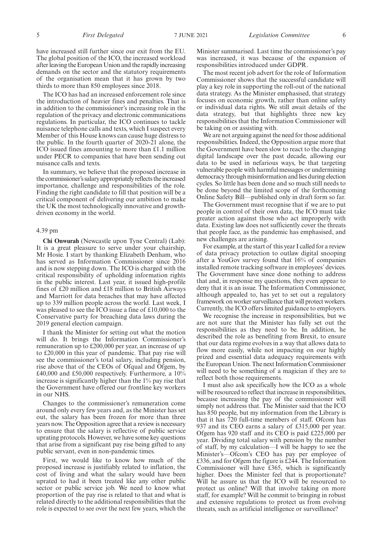thirds to more than 850 employees since 2018. The ICO has had an increased enforcement role since the introduction of heavier fines and penalties. That is in addition to the commissioner's increasing role in the regulation of the privacy and electronic communications regulations. In particular, the ICO continues to tackle nuisance telephone calls and texts, which I suspect every Member of this House knows can cause huge distress to the public. In the fourth quarter of 2020-21 alone, the ICO issued fines amounting to more than £1.1 million under PECR to companies that have been sending out nuisance calls and texts.

In summary, we believe that the proposed increase in the commissioner's salary appropriately reflects the increased importance, challenge and responsibilities of the role. Finding the right candidate to fill that position will be a critical component of delivering our ambition to make the UK the most technologically innovative and growthdriven economy in the world.

#### 4.39 pm

**Chi Onwurah** (Newcastle upon Tyne Central) (Lab): It is a great pleasure to serve under your chairship, Mr Hosie. I start by thanking Elizabeth Denham, who has served as Information Commissioner since 2016 and is now stepping down. The ICO is charged with the critical responsibility of upholding information rights in the public interest. Last year, it issued high-profile fines of £20 million and £18 million to British Airways and Marriott for data breaches that may have affected up to 339 million people across the world. Last week, I was pleased to see the ICO issue a fine of £10,000 to the Conservative party for breaching data laws during the 2019 general election campaign.

I thank the Minister for setting out what the motion will do. It brings the Information Commissioner's remuneration up to £200,000 per year, an increase of up to £20,000 in this year of pandemic. That pay rise will see the commissioner's total salary, including pension, rise above that of the CEOs of Ofqual and Ofgem, by £40,000 and £50,000 respectively. Furthermore, a 10% increase is significantly higher than the 1% pay rise that the Government have offered our frontline key workers in our NHS.

Changes to the commissioner's remuneration come around only every few years and, as the Minister has set out, the salary has been frozen for more than three years now. The Opposition agree that a review is necessary to ensure that the salary is reflective of public service uprating protocols. However, we have some key questions that arise from a significant pay rise being gifted to any public servant, even in non-pandemic times.

First, we would like to know how much of the proposed increase is justifiably related to inflation, the cost of living and what the salary would have been uprated to had it been treated like any other public sector or public service job. We need to know what proportion of the pay rise is related to that and what is related directly to the additional responsibilities that the role is expected to see over the next few years, which the Minister summarised. Last time the commissioner's pay was increased, it was because of the expansion of responsibilities introduced under GDPR.

The most recent job advert for the role of Information Commissioner shows that the successful candidate will play a key role in supporting the roll-out of the national data strategy. As the Minister emphasised, that strategy focuses on economic growth, rather than online safety or individual data rights. We still await details of the data strategy, but that highlights three new key responsibilities that the Information Commissioner will be taking on or assisting with.

We are not arguing against the need for those additional responsibilities. Indeed, the Opposition argue more that the Government have been slow to react to the changing digital landscape over the past decade, allowing our data to be used in nefarious ways, be that targeting vulnerable people with harmful messages or undermining democracy through misinformation and lies during election cycles. So little has been done and so much still needs to be done beyond the limited scope of the forthcoming Online Safety Bill—published only in draft form so far.

The Government must recognise that if we are to put people in control of their own data, the ICO must take greater action against those who act improperly with data. Existing law does not sufficiently cover the threats that people face, as the pandemic has emphasised, and new challenges are arising.

For example, at the start of this year I called for a review of data privacy protection to outlaw digital snooping after a YouGov survey found that 16% of companies installed remote tracking software in employees' devices. The Government have since done nothing to address that and, in response my questions, they even appear to deny that it is an issue. The Information Commissioner, although appealed to, has yet to set out a regulatory framework on worker surveillance that will protect workers. Currently, the ICO offers limited guidance to employers.

We recognise the increase in responsibilities, but we are not sure that the Minister has fully set out the responsibilities as they need to be. In addition, he described the role as benefiting from Brexit, to ensure that our data regime evolves in a way that allows data to flow more easily, while not impacting on our highly prized and essential data adequacy requirements with the European Union. The next Information Commissioner will need to be something of a magician if they are to reflect both those requirements.

I must also ask specifically how the ICO as a whole will be resourced to reflect that increase in responsibilities, because increasing the pay of the commissioner will simply not address that. The Minister said that the ICO has 850 people, but my information from the Library is that it has 720 full-time members of staff. Ofcom has 937 and its CEO earns a salary of £315,000 per year. Ofgem has 920 staff and its CEO is paid £225,000 per year. Dividing total salary with pension by the number of staff, by my calculation—I will be happy to see the Minister's—Ofcom's CEO has pay per employee of £336, and for Ofgem the figure is £244. The Information Commissioner will have £365, which is significantly higher. Does the Minister feel that is proportionate? Will he assure us that the ICO will be resourced to protect us online? Will that involve taking on more staff, for example? Will he commit to bringing in robust and extensive regulations to protect us from evolving threats, such as artificial intelligence or surveillance?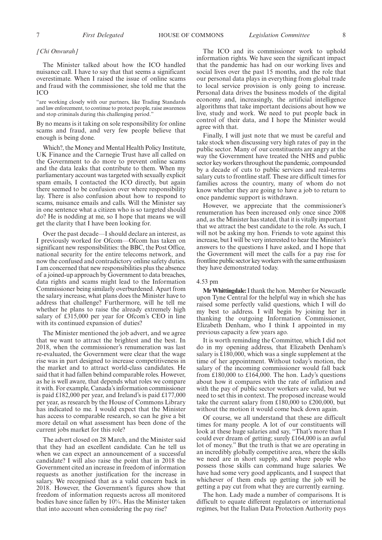#### *[Chi Onwurah]*

The Minister talked about how the ICO handled nuisance call. I have to say that that seems a significant overestimate. When I raised the issue of online scams and fraud with the commissioner, she told me that the ICO

"are working closely with our partners, like Trading Standards and law enforcement, to continue to protect people, raise awareness and stop criminals during this challenging period."

By no means is it taking on sole responsibility for online scams and fraud, and very few people believe that enough is being done.

Which?, the Money and Mental Health Policy Institute, UK Finance and the Carnegie Trust have all called on the Government to do more to prevent online scams and the data leaks that contribute to them. When my parliamentary account was targeted with sexually explicit spam emails, I contacted the ICO directly, but again there seemed to be confusion over where responsibility lay. There is also confusion about how to respond to scams, nuisance emails and calls. Will the Minister say in one sentence what a citizen who is so targeted should do? He is nodding at me, so I hope that means we will get the clarity that I have been looking for.

Over the past decade—I should declare an interest, as I previously worked for Ofcom—Ofcom has taken on significant new responsibilities: the BBC, the Post Office, national security for the entire telecoms network, and now the confused and contradictory online safety duties. I am concerned that new responsibilities plus the absence of a joined-up approach by Government to data breaches, data rights and scams might lead to the Information Commissioner being similarly overburdened. Apart from the salary increase, what plans does the Minister have to address that challenge? Furthermore, will he tell me whether he plans to raise the already extremely high salary of £315,000 per year for Ofcom's CEO in line with its continued expansion of duties?

The Minister mentioned the job advert, and we agree that we want to attract the brightest and the best. In 2018, when the commissioner's renumeration was last re-evaluated, the Government were clear that the wage rise was in part designed to increase competitiveness in the market and to attract world-class candidates. He said that it had fallen behind comparable roles. However, as he is well aware, that depends what roles we compare it with. For example, Canada's information commissioner is paid £182,000 per year, and Ireland's is paid £177,000 per year, as research by the House of Commons Library has indicated to me. I would expect that the Minister has access to comparable research, so can he give a bit more detail on what assessment has been done of the current jobs market for this role?

The advert closed on 28 March, and the Minister said that they had an excellent candidate. Can he tell us when we can expect an announcement of a successful candidate? I will also raise the point that in 2018 the Government cited an increase in freedom of information requests as another justification for the increase in salary. We recognised that as a valid concern back in 2018. However, the Government's figures show that freedom of information requests across all monitored bodies have since fallen by 10%. Has the Minister taken that into account when considering the pay rise?

The ICO and its commissioner work to uphold information rights. We have seen the significant impact that the pandemic has had on our working lives and social lives over the past 15 months, and the role that our personal data plays in everything from global trade to local service provision is only going to increase. Personal data drives the business models of the digital economy and, increasingly, the artificial intelligence algorithms that take important decisions about how we live, study and work. We need to put people back in control of their data, and I hope the Minister would agree with that.

Finally, I will just note that we must be careful and take stock when discussing very high rates of pay in the public sector. Many of our constituents are angry at the way the Government have treated the NHS and public sector key workers throughout the pandemic, compounded by a decade of cuts to public services and real-terms salary cuts to frontline staff. These are difficult times for families across the country, many of whom do not know whether they are going to have a job to return to once pandemic support is withdrawn.

However, we appreciate that the commissioner's renumeration has been increased only once since 2008 and, as the Minister has stated, that it is vitally important that we attract the best candidate to the role. As such, I will not be asking my hon. Friends to vote against this increase, but I will be very interested to hear the Minister's answers to the questions I have asked, and I hope that the Government will meet the calls for a pay rise for frontline public sector key workers with the same enthusiasm they have demonstrated today.

#### 4.53 pm

**Mr Whittingdale:**I thank the hon. Member for Newcastle upon Tyne Central for the helpful way in which she has raised some perfectly valid questions, which I will do my best to address. I will begin by joining her in thanking the outgoing Information Commissioner, Elizabeth Denham, who I think I appointed in my previous capacity a few years ago.

It is worth reminding the Committee, which I did not do in my opening address, that Elizabeth Denham's salary is £180,000, which was a single supplement at the time of her appointment. Without today's motion, the salary of the incoming commissioner would fall back from £180,000 to £164,000. The hon. Lady's questions about how it compares with the rate of inflation and with the pay of public sector workers are valid, but we need to set this in context. The proposed increase would take the current salary from £180,000 to £200,000, but without the motion it would come back down again.

Of course, we all understand that these are difficult times for many people. A lot of our constituents will look at these huge salaries and say, "That's more than I could ever dream of getting; surely £164,000 is an awful lot of money." But the truth is that we are operating in an incredibly globally competitive area, where the skills we need are in short supply, and where people who possess those skills can command huge salaries. We have had some very good applicants, and I suspect that whichever of them ends up getting the job will be getting a pay cut from what they are currently earning.

The hon. Lady made a number of comparisons. It is difficult to equate different regulators or international regimes, but the Italian Data Protection Authority pays